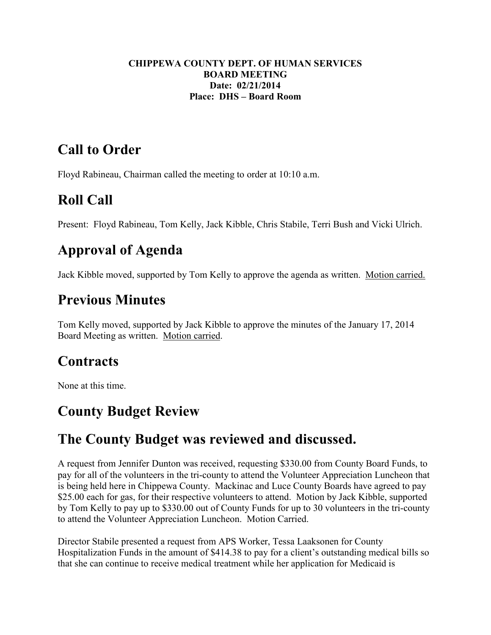#### **CHIPPEWA COUNTY DEPT. OF HUMAN SERVICES BOARD MEETING Date: 02/21/2014 Place: DHS – Board Room**

## **Call to Order**

Floyd Rabineau, Chairman called the meeting to order at 10:10 a.m.

# **Roll Call**

Present: Floyd Rabineau, Tom Kelly, Jack Kibble, Chris Stabile, Terri Bush and Vicki Ulrich.

# **Approval of Agenda**

Jack Kibble moved, supported by Tom Kelly to approve the agenda as written. Motion carried.

## **Previous Minutes**

Tom Kelly moved, supported by Jack Kibble to approve the minutes of the January 17, 2014 Board Meeting as written. Motion carried.

## **Contracts**

None at this time.

## **County Budget Review**

## **The County Budget was reviewed and discussed.**

A request from Jennifer Dunton was received, requesting \$330.00 from County Board Funds, to pay for all of the volunteers in the tri-county to attend the Volunteer Appreciation Luncheon that is being held here in Chippewa County. Mackinac and Luce County Boards have agreed to pay \$25.00 each for gas, for their respective volunteers to attend. Motion by Jack Kibble, supported by Tom Kelly to pay up to \$330.00 out of County Funds for up to 30 volunteers in the tri-county to attend the Volunteer Appreciation Luncheon. Motion Carried.

Director Stabile presented a request from APS Worker, Tessa Laaksonen for County Hospitalization Funds in the amount of \$414.38 to pay for a client's outstanding medical bills so that she can continue to receive medical treatment while her application for Medicaid is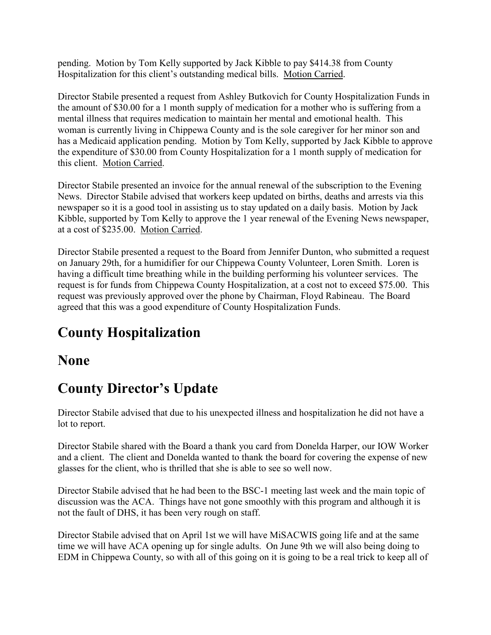pending. Motion by Tom Kelly supported by Jack Kibble to pay \$414.38 from County Hospitalization for this client's outstanding medical bills. Motion Carried.

Director Stabile presented a request from Ashley Butkovich for County Hospitalization Funds in the amount of \$30.00 for a 1 month supply of medication for a mother who is suffering from a mental illness that requires medication to maintain her mental and emotional health. This woman is currently living in Chippewa County and is the sole caregiver for her minor son and has a Medicaid application pending. Motion by Tom Kelly, supported by Jack Kibble to approve the expenditure of \$30.00 from County Hospitalization for a 1 month supply of medication for this client. Motion Carried.

Director Stabile presented an invoice for the annual renewal of the subscription to the Evening News. Director Stabile advised that workers keep updated on births, deaths and arrests via this newspaper so it is a good tool in assisting us to stay updated on a daily basis. Motion by Jack Kibble, supported by Tom Kelly to approve the 1 year renewal of the Evening News newspaper, at a cost of \$235.00. Motion Carried.

Director Stabile presented a request to the Board from Jennifer Dunton, who submitted a request on January 29th, for a humidifier for our Chippewa County Volunteer, Loren Smith. Loren is having a difficult time breathing while in the building performing his volunteer services. The request is for funds from Chippewa County Hospitalization, at a cost not to exceed \$75.00. This request was previously approved over the phone by Chairman, Floyd Rabineau. The Board agreed that this was a good expenditure of County Hospitalization Funds.

# **County Hospitalization**

### **None**

## **County Director's Update**

Director Stabile advised that due to his unexpected illness and hospitalization he did not have a lot to report.

Director Stabile shared with the Board a thank you card from Donelda Harper, our IOW Worker and a client. The client and Donelda wanted to thank the board for covering the expense of new glasses for the client, who is thrilled that she is able to see so well now.

Director Stabile advised that he had been to the BSC-1 meeting last week and the main topic of discussion was the ACA. Things have not gone smoothly with this program and although it is not the fault of DHS, it has been very rough on staff.

Director Stabile advised that on April 1st we will have MiSACWIS going life and at the same time we will have ACA opening up for single adults. On June 9th we will also being doing to EDM in Chippewa County, so with all of this going on it is going to be a real trick to keep all of